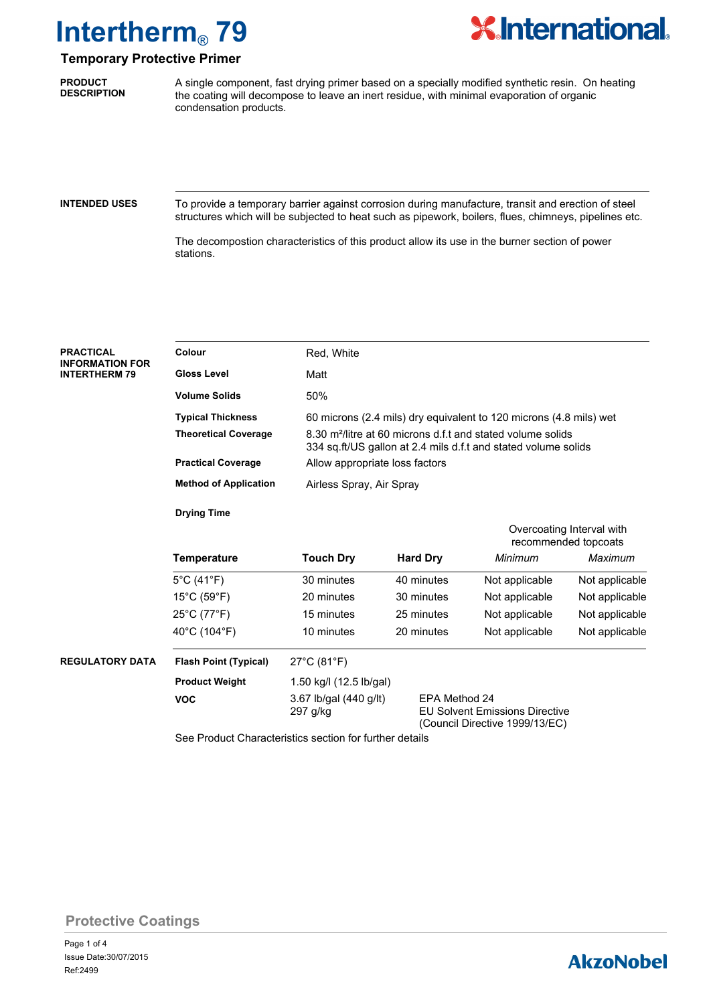

### **Temporary Protective Primer**

**PRODUCT DESCRIPTION**

A single component, fast drying primer based on a specially modified synthetic resin. On heating the coating will decompose to leave an inert residue, with minimal evaporation of organic condensation products.

#### **INTENDED USES**

To provide a temporary barrier against corrosion during manufacture, transit and erection of steel structures which will be subjected to heat such as pipework, boilers, flues, chimneys, pipelines etc.

The decompostion characteristics of this product allow its use in the burner section of power stations.

| <b>PRACTICAL</b><br><b>INFORMATION FOR</b><br><b>INTERTHERM 79</b> | Colour                                                  | Red, White                         |                                                                                                                                                                                                                                                                               |                |                |  |  |
|--------------------------------------------------------------------|---------------------------------------------------------|------------------------------------|-------------------------------------------------------------------------------------------------------------------------------------------------------------------------------------------------------------------------------------------------------------------------------|----------------|----------------|--|--|
|                                                                    | <b>Gloss Level</b>                                      | Matt                               |                                                                                                                                                                                                                                                                               |                |                |  |  |
|                                                                    | <b>Volume Solids</b>                                    | 50%                                |                                                                                                                                                                                                                                                                               |                |                |  |  |
|                                                                    | <b>Typical Thickness</b>                                |                                    | 60 microns (2.4 mils) dry equivalent to 120 microns (4.8 mils) wet<br>8.30 m <sup>2</sup> /litre at 60 microns d.f.t and stated volume solids<br>334 sq.ft/US gallon at 2.4 mils d.f.t and stated volume solids<br>Allow appropriate loss factors<br>Airless Spray, Air Spray |                |                |  |  |
|                                                                    | <b>Theoretical Coverage</b>                             |                                    |                                                                                                                                                                                                                                                                               |                |                |  |  |
|                                                                    | <b>Practical Coverage</b>                               |                                    |                                                                                                                                                                                                                                                                               |                |                |  |  |
|                                                                    | <b>Method of Application</b>                            |                                    |                                                                                                                                                                                                                                                                               |                |                |  |  |
|                                                                    | <b>Drying Time</b>                                      |                                    |                                                                                                                                                                                                                                                                               |                |                |  |  |
|                                                                    |                                                         |                                    | Overcoating Interval with<br>recommended topcoats                                                                                                                                                                                                                             |                |                |  |  |
|                                                                    | <b>Temperature</b>                                      | <b>Touch Dry</b>                   | <b>Hard Dry</b>                                                                                                                                                                                                                                                               | Minimum        | Maximum        |  |  |
|                                                                    | $5^{\circ}$ C (41 $^{\circ}$ F)                         | 30 minutes                         | 40 minutes                                                                                                                                                                                                                                                                    | Not applicable | Not applicable |  |  |
|                                                                    | $15^{\circ}$ C (59 $^{\circ}$ F)                        | 20 minutes                         | 30 minutes                                                                                                                                                                                                                                                                    | Not applicable | Not applicable |  |  |
|                                                                    | $25^{\circ}$ C (77 $^{\circ}$ F)                        | 15 minutes                         | 25 minutes                                                                                                                                                                                                                                                                    | Not applicable | Not applicable |  |  |
|                                                                    | 40°C (104°F)                                            | 10 minutes                         | 20 minutes                                                                                                                                                                                                                                                                    | Not applicable | Not applicable |  |  |
| <b>REGULATORY DATA</b>                                             | <b>Flash Point (Typical)</b>                            | $27^{\circ}$ C (81 $^{\circ}$ F)   |                                                                                                                                                                                                                                                                               |                |                |  |  |
|                                                                    | <b>Product Weight</b>                                   | 1.50 kg/l (12.5 lb/gal)            |                                                                                                                                                                                                                                                                               |                |                |  |  |
|                                                                    | <b>VOC</b>                                              | 3.67 lb/gal (440 g/lt)<br>297 g/kg | EPA Method 24<br><b>EU Solvent Emissions Directive</b><br>(Council Directive 1999/13/EC)                                                                                                                                                                                      |                |                |  |  |
|                                                                    | See Product Characteristics section for further details |                                    |                                                                                                                                                                                                                                                                               |                |                |  |  |

**Protective Coatings**

### **AkzoNobel**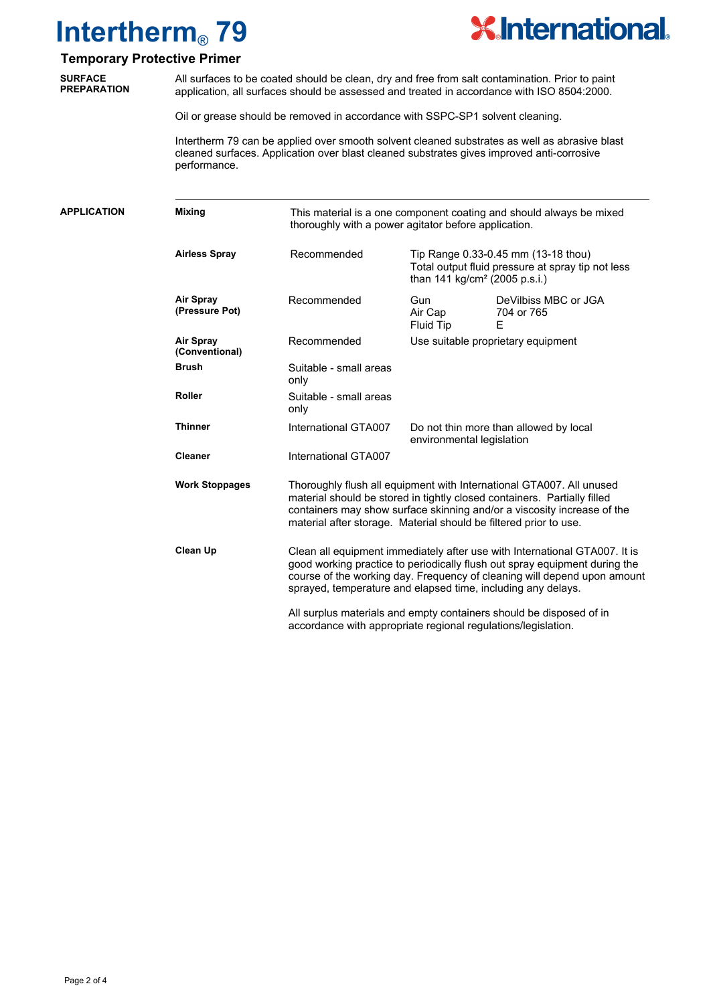

### **Temporary Protective Primer**

**SURFACE PREPARATION**

All surfaces to be coated should be clean, dry and free from salt contamination. Prior to paint application, all surfaces should be assessed and treated in accordance with ISO 8504:2000.

Oil or grease should be removed in accordance with SSPC-SP1 solvent cleaning.

Intertherm 79 can be applied over smooth solvent cleaned substrates as well as abrasive blast cleaned surfaces. Application over blast cleaned substrates gives improved anti-corrosive performance.

| <b>APPLICATION</b> | <b>Mixing</b>                      | This material is a one component coating and should always be mixed<br>thoroughly with a power agitator before application. |                                                                                                                                                                                                                                                                                                                                                                                                                                              |                                         |  |
|--------------------|------------------------------------|-----------------------------------------------------------------------------------------------------------------------------|----------------------------------------------------------------------------------------------------------------------------------------------------------------------------------------------------------------------------------------------------------------------------------------------------------------------------------------------------------------------------------------------------------------------------------------------|-----------------------------------------|--|
|                    | <b>Airless Spray</b>               | Recommended                                                                                                                 | Tip Range 0.33-0.45 mm (13-18 thou)<br>Total output fluid pressure at spray tip not less<br>than 141 kg/cm <sup>2</sup> (2005 p.s.i.)                                                                                                                                                                                                                                                                                                        |                                         |  |
|                    | Air Spray<br>(Pressure Pot)        | Recommended                                                                                                                 | <b>Gun</b><br>Air Cap<br>Fluid Tip                                                                                                                                                                                                                                                                                                                                                                                                           | DeVilbiss MBC or JGA<br>704 or 765<br>Ε |  |
|                    | <b>Air Spray</b><br>(Conventional) | Recommended                                                                                                                 |                                                                                                                                                                                                                                                                                                                                                                                                                                              | Use suitable proprietary equipment      |  |
|                    | <b>Brush</b>                       | Suitable - small areas<br>only                                                                                              |                                                                                                                                                                                                                                                                                                                                                                                                                                              |                                         |  |
|                    | <b>Roller</b>                      | Suitable - small areas<br>only                                                                                              |                                                                                                                                                                                                                                                                                                                                                                                                                                              |                                         |  |
|                    | <b>Thinner</b>                     | International GTA007                                                                                                        | environmental legislation                                                                                                                                                                                                                                                                                                                                                                                                                    | Do not thin more than allowed by local  |  |
|                    | <b>Cleaner</b>                     | International GTA007                                                                                                        |                                                                                                                                                                                                                                                                                                                                                                                                                                              |                                         |  |
|                    | <b>Work Stoppages</b>              |                                                                                                                             | Thoroughly flush all equipment with International GTA007. All unused<br>material should be stored in tightly closed containers. Partially filled<br>containers may show surface skinning and/or a viscosity increase of the<br>material after storage. Material should be filtered prior to use.                                                                                                                                             |                                         |  |
|                    | <b>Clean Up</b>                    |                                                                                                                             | Clean all equipment immediately after use with International GTA007. It is<br>good working practice to periodically flush out spray equipment during the<br>course of the working day. Frequency of cleaning will depend upon amount<br>sprayed, temperature and elapsed time, including any delays.<br>All surplus materials and empty containers should be disposed of in<br>accordance with appropriate regional regulations/legislation. |                                         |  |
|                    |                                    |                                                                                                                             |                                                                                                                                                                                                                                                                                                                                                                                                                                              |                                         |  |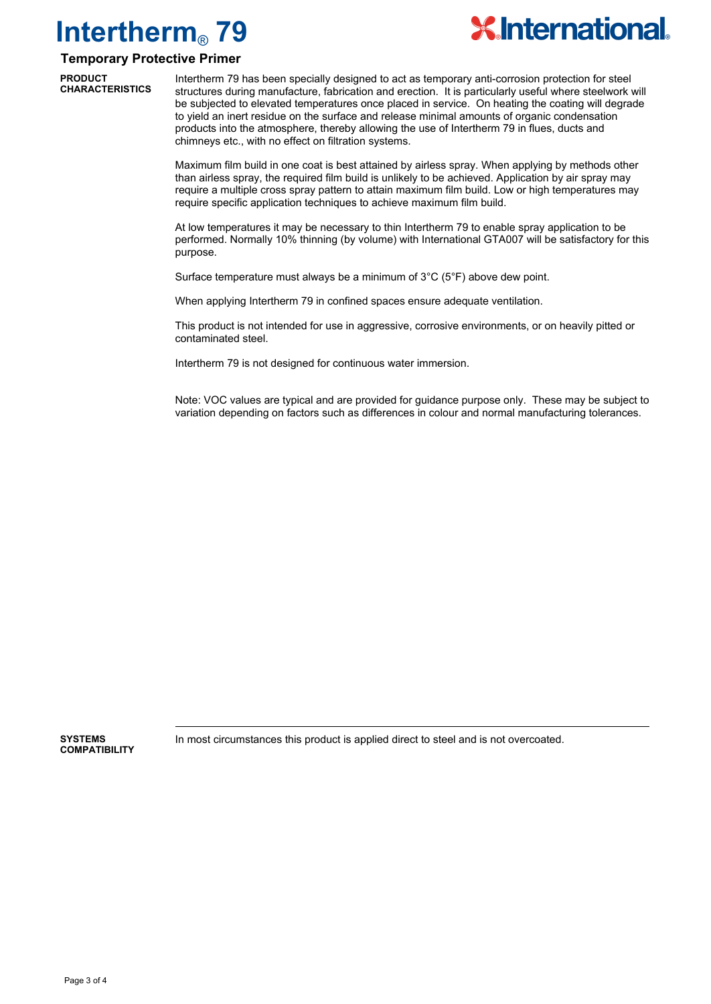

### **Temporary Protective Primer**

**PRODUCT CHARACTERISTICS**

Intertherm 79 has been specially designed to act as temporary anti-corrosion protection for steel structures during manufacture, fabrication and erection. It is particularly useful where steelwork will be subjected to elevated temperatures once placed in service. On heating the coating will degrade to yield an inert residue on the surface and release minimal amounts of organic condensation products into the atmosphere, thereby allowing the use of Intertherm 79 in flues, ducts and chimneys etc., with no effect on filtration systems.

Maximum film build in one coat is best attained by airless spray. When applying by methods other than airless spray, the required film build is unlikely to be achieved. Application by air spray may require a multiple cross spray pattern to attain maximum film build. Low or high temperatures may require specific application techniques to achieve maximum film build.

At low temperatures it may be necessary to thin Intertherm 79 to enable spray application to be performed. Normally 10% thinning (by volume) with International GTA007 will be satisfactory for this purpose.

Surface temperature must always be a minimum of 3°C (5°F) above dew point.

When applying Intertherm 79 in confined spaces ensure adequate ventilation.

This product is not intended for use in aggressive, corrosive environments, or on heavily pitted or contaminated steel.

Intertherm 79 is not designed for continuous water immersion.

Note: VOC values are typical and are provided for guidance purpose only. These may be subject to variation depending on factors such as differences in colour and normal manufacturing tolerances.

**COMPATIBILITY**

**SYSTEMS** In most circumstances this product is applied direct to steel and is not overcoated.